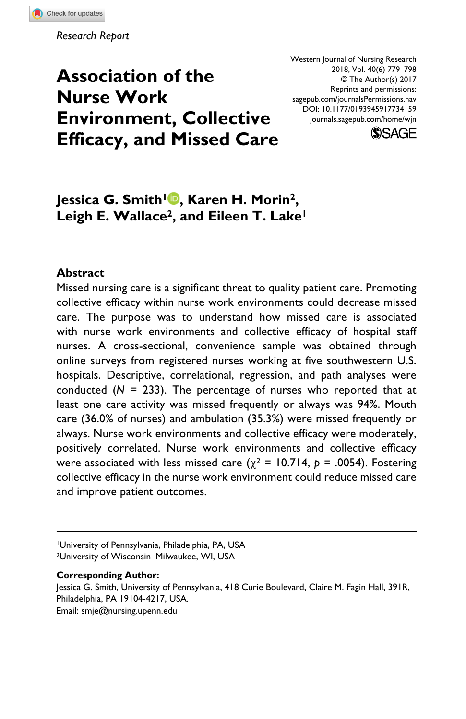# **Association of the Nurse Work Environment, Collective Efficacy, and Missed Care**

DOI: 10.1177/0193945917734159 Western Journal of Nursing Research 2018, Vol. 40(6) 779–798 © The Author(s) 2017 Reprints and permissions: [sagepub.com/journalsPermissions.nav](https://us.sagepub.com/en-us/journals-permissions) [journals.sagepub.com/home/wjn](https://journals.sagepub.com/home/wjn)



# **Jessica G. Smith1 , Karen H. Morin2,**  Leigh E. Wallace<sup>2</sup>, and Eileen T. Lake<sup>1</sup>

#### **Abstract**

Missed nursing care is a significant threat to quality patient care. Promoting collective efficacy within nurse work environments could decrease missed care. The purpose was to understand how missed care is associated with nurse work environments and collective efficacy of hospital staff nurses. A cross-sectional, convenience sample was obtained through online surveys from registered nurses working at five southwestern U.S. hospitals. Descriptive, correlational, regression, and path analyses were conducted (*N* = 233). The percentage of nurses who reported that at least one care activity was missed frequently or always was 94%. Mouth care (36.0% of nurses) and ambulation (35.3%) were missed frequently or always. Nurse work environments and collective efficacy were moderately, positively correlated. Nurse work environments and collective efficacy were associated with less missed care ( $\chi^2$  = 10.714,  $p$  = .0054). Fostering collective efficacy in the nurse work environment could reduce missed care and improve patient outcomes.

#### **Corresponding Author:**

Jessica G. Smith, University of Pennsylvania, 418 Curie Boulevard, Claire M. Fagin Hall, 391R, Philadelphia, PA 19104-4217, USA.

Email: smje@nursing.upenn.edu

<sup>1</sup>University of Pennsylvania, Philadelphia, PA, USA 2University of Wisconsin–Milwaukee, WI, USA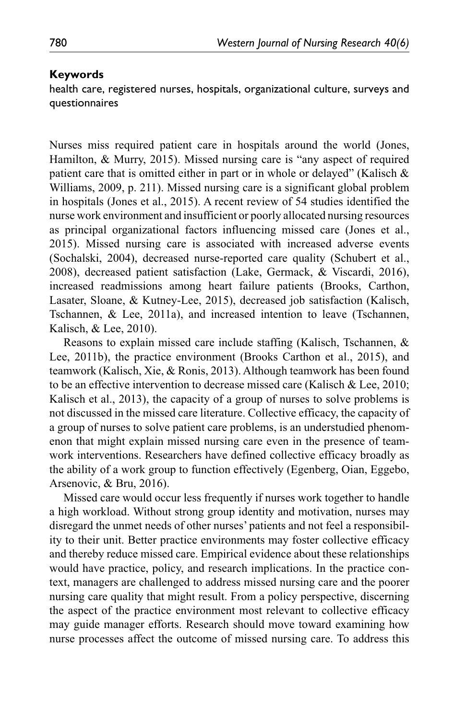#### **Keywords**

health care, registered nurses, hospitals, organizational culture, surveys and questionnaires

Nurses miss required patient care in hospitals around the world (Jones, Hamilton, & Murry, 2015). Missed nursing care is "any aspect of required patient care that is omitted either in part or in whole or delayed" (Kalisch & Williams, 2009, p. 211). Missed nursing care is a significant global problem in hospitals (Jones et al., 2015). A recent review of 54 studies identified the nurse work environment and insufficient or poorly allocated nursing resources as principal organizational factors influencing missed care (Jones et al., 2015). Missed nursing care is associated with increased adverse events (Sochalski, 2004), decreased nurse-reported care quality (Schubert et al., 2008), decreased patient satisfaction (Lake, Germack, & Viscardi, 2016), increased readmissions among heart failure patients (Brooks, Carthon, Lasater, Sloane, & Kutney-Lee, 2015), decreased job satisfaction (Kalisch, Tschannen, & Lee, 2011a), and increased intention to leave (Tschannen, Kalisch, & Lee, 2010).

Reasons to explain missed care include staffing (Kalisch, Tschannen, & Lee, 2011b), the practice environment (Brooks Carthon et al., 2015), and teamwork (Kalisch, Xie, & Ronis, 2013). Although teamwork has been found to be an effective intervention to decrease missed care (Kalisch & Lee, 2010; Kalisch et al., 2013), the capacity of a group of nurses to solve problems is not discussed in the missed care literature. Collective efficacy, the capacity of a group of nurses to solve patient care problems, is an understudied phenomenon that might explain missed nursing care even in the presence of teamwork interventions. Researchers have defined collective efficacy broadly as the ability of a work group to function effectively (Egenberg, Oian, Eggebo, Arsenovic, & Bru, 2016).

Missed care would occur less frequently if nurses work together to handle a high workload. Without strong group identity and motivation, nurses may disregard the unmet needs of other nurses' patients and not feel a responsibility to their unit. Better practice environments may foster collective efficacy and thereby reduce missed care. Empirical evidence about these relationships would have practice, policy, and research implications. In the practice context, managers are challenged to address missed nursing care and the poorer nursing care quality that might result. From a policy perspective, discerning the aspect of the practice environment most relevant to collective efficacy may guide manager efforts. Research should move toward examining how nurse processes affect the outcome of missed nursing care. To address this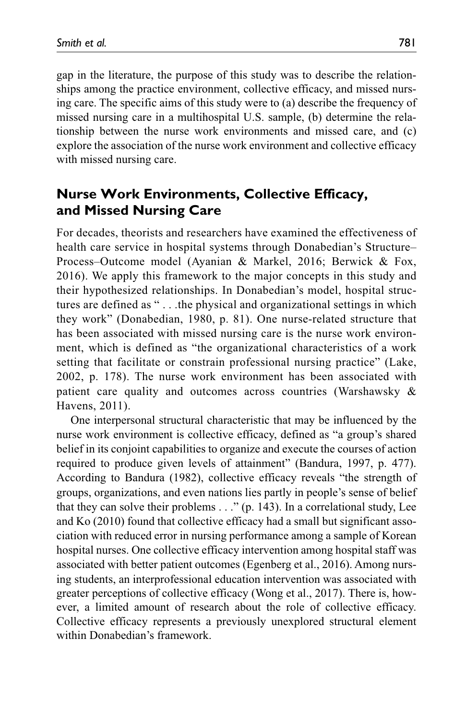gap in the literature, the purpose of this study was to describe the relationships among the practice environment, collective efficacy, and missed nursing care. The specific aims of this study were to (a) describe the frequency of missed nursing care in a multihospital U.S. sample, (b) determine the relationship between the nurse work environments and missed care, and (c) explore the association of the nurse work environment and collective efficacy with missed nursing care.

# **Nurse Work Environments, Collective Efficacy, and Missed Nursing Care**

For decades, theorists and researchers have examined the effectiveness of health care service in hospital systems through Donabedian's Structure– Process–Outcome model (Ayanian & Markel, 2016; Berwick & Fox, 2016). We apply this framework to the major concepts in this study and their hypothesized relationships. In Donabedian's model, hospital structures are defined as " . . .the physical and organizational settings in which they work" (Donabedian, 1980, p. 81). One nurse-related structure that has been associated with missed nursing care is the nurse work environment, which is defined as "the organizational characteristics of a work setting that facilitate or constrain professional nursing practice" (Lake, 2002, p. 178). The nurse work environment has been associated with patient care quality and outcomes across countries (Warshawsky & Havens, 2011).

One interpersonal structural characteristic that may be influenced by the nurse work environment is collective efficacy, defined as "a group's shared belief in its conjoint capabilities to organize and execute the courses of action required to produce given levels of attainment" (Bandura, 1997, p. 477). According to Bandura (1982), collective efficacy reveals "the strength of groups, organizations, and even nations lies partly in people's sense of belief that they can solve their problems . . ." (p. 143). In a correlational study, Lee and Ko (2010) found that collective efficacy had a small but significant association with reduced error in nursing performance among a sample of Korean hospital nurses. One collective efficacy intervention among hospital staff was associated with better patient outcomes (Egenberg et al., 2016). Among nursing students, an interprofessional education intervention was associated with greater perceptions of collective efficacy (Wong et al., 2017). There is, however, a limited amount of research about the role of collective efficacy. Collective efficacy represents a previously unexplored structural element within Donabedian's framework.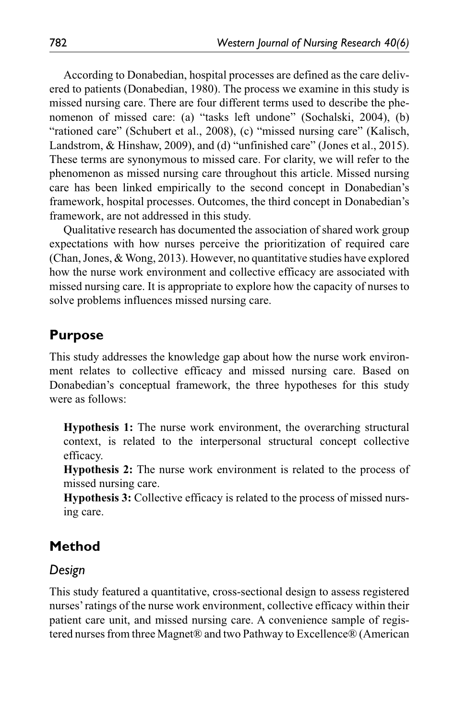According to Donabedian, hospital processes are defined as the care delivered to patients (Donabedian, 1980). The process we examine in this study is missed nursing care. There are four different terms used to describe the phenomenon of missed care: (a) "tasks left undone" (Sochalski, 2004), (b) "rationed care" (Schubert et al., 2008), (c) "missed nursing care" (Kalisch, Landstrom, & Hinshaw, 2009), and (d) "unfinished care" (Jones et al., 2015). These terms are synonymous to missed care. For clarity, we will refer to the phenomenon as missed nursing care throughout this article. Missed nursing care has been linked empirically to the second concept in Donabedian's framework, hospital processes. Outcomes, the third concept in Donabedian's framework, are not addressed in this study.

Qualitative research has documented the association of shared work group expectations with how nurses perceive the prioritization of required care (Chan, Jones, & Wong, 2013). However, no quantitative studies have explored how the nurse work environment and collective efficacy are associated with missed nursing care. It is appropriate to explore how the capacity of nurses to solve problems influences missed nursing care.

### **Purpose**

This study addresses the knowledge gap about how the nurse work environment relates to collective efficacy and missed nursing care. Based on Donabedian's conceptual framework, the three hypotheses for this study were as follows:

**Hypothesis 1:** The nurse work environment, the overarching structural context, is related to the interpersonal structural concept collective efficacy.

**Hypothesis 2:** The nurse work environment is related to the process of missed nursing care.

**Hypothesis 3:** Collective efficacy is related to the process of missed nursing care.

# **Method**

#### *Design*

This study featured a quantitative, cross-sectional design to assess registered nurses' ratings of the nurse work environment, collective efficacy within their patient care unit, and missed nursing care. A convenience sample of registered nurses from three Magnet® and two Pathway to Excellence® (American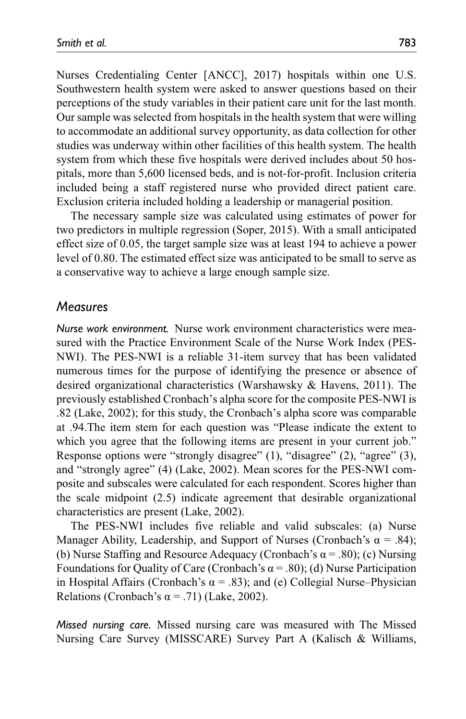Nurses Credentialing Center [ANCC], 2017) hospitals within one U.S. Southwestern health system were asked to answer questions based on their perceptions of the study variables in their patient care unit for the last month. Our sample was selected from hospitals in the health system that were willing to accommodate an additional survey opportunity, as data collection for other studies was underway within other facilities of this health system. The health system from which these five hospitals were derived includes about 50 hospitals, more than 5,600 licensed beds, and is not-for-profit. Inclusion criteria included being a staff registered nurse who provided direct patient care. Exclusion criteria included holding a leadership or managerial position.

The necessary sample size was calculated using estimates of power for two predictors in multiple regression (Soper, 2015). With a small anticipated effect size of 0.05, the target sample size was at least 194 to achieve a power level of 0.80. The estimated effect size was anticipated to be small to serve as a conservative way to achieve a large enough sample size.

#### *Measures*

*Nurse work environment.* Nurse work environment characteristics were measured with the Practice Environment Scale of the Nurse Work Index (PES-NWI). The PES-NWI is a reliable 31-item survey that has been validated numerous times for the purpose of identifying the presence or absence of desired organizational characteristics (Warshawsky & Havens, 2011). The previously established Cronbach's alpha score for the composite PES-NWI is .82 (Lake, 2002); for this study, the Cronbach's alpha score was comparable at .94.The item stem for each question was "Please indicate the extent to which you agree that the following items are present in your current job." Response options were "strongly disagree" (1), "disagree" (2), "agree" (3), and "strongly agree" (4) (Lake, 2002). Mean scores for the PES-NWI composite and subscales were calculated for each respondent. Scores higher than the scale midpoint (2.5) indicate agreement that desirable organizational characteristics are present (Lake, 2002).

The PES-NWI includes five reliable and valid subscales: (a) Nurse Manager Ability, Leadership, and Support of Nurses (Cronbach's  $\alpha = .84$ ); (b) Nurse Staffing and Resource Adequacy (Cronbach's  $\alpha$  = .80); (c) Nursing Foundations for Quality of Care (Cronbach's  $\alpha$  = .80); (d) Nurse Participation in Hospital Affairs (Cronbach's  $\alpha$  = .83); and (e) Collegial Nurse–Physician Relations (Cronbach's  $\alpha$  = .71) (Lake, 2002).

*Missed nursing care.* Missed nursing care was measured with The Missed Nursing Care Survey (MISSCARE) Survey Part A (Kalisch & Williams,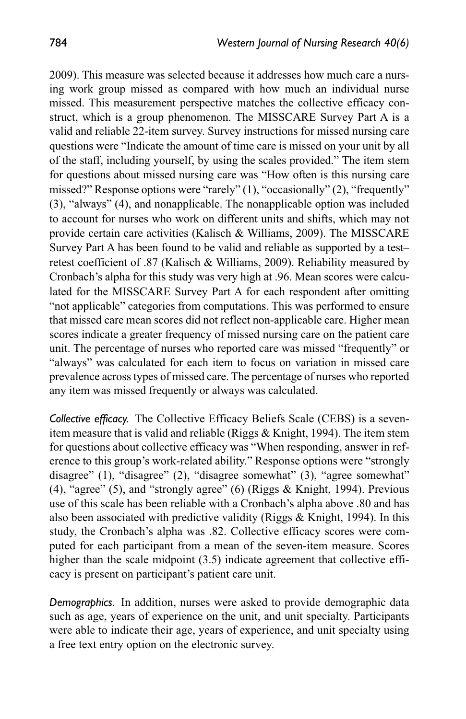2009). This measure was selected because it addresses how much care a nursing work group missed as compared with how much an individual nurse missed. This measurement perspective matches the collective efficacy construct, which is a group phenomenon. The MISSCARE Survey Part A is a valid and reliable 22-item survey. Survey instructions for missed nursing care questions were "Indicate the amount of time care is missed on your unit by all of the staff, including yourself, by using the scales provided." The item stem for questions about missed nursing care was "How often is this nursing care missed?" Response options were "rarely" (1), "occasionally" (2), "frequently" (3), "always" (4), and nonapplicable. The nonapplicable option was included to account for nurses who work on different units and shifts, which may not provide certain care activities (Kalisch & Williams, 2009). The MISSCARE Survey Part A has been found to be valid and reliable as supported by a test– retest coefficient of .87 (Kalisch & Williams, 2009). Reliability measured by Cronbach's alpha for this study was very high at .96. Mean scores were calculated for the MISSCARE Survey Part A for each respondent after omitting "not applicable" categories from computations. This was performed to ensure that missed care mean scores did not reflect non-applicable care. Higher mean scores indicate a greater frequency of missed nursing care on the patient care unit. The percentage of nurses who reported care was missed "frequently" or "always" was calculated for each item to focus on variation in missed care prevalence across types of missed care. The percentage of nurses who reported any item was missed frequently or always was calculated.

*Collective efficacy.* The Collective Efficacy Beliefs Scale (CEBS) is a sevenitem measure that is valid and reliable (Riggs & Knight, 1994). The item stem for questions about collective efficacy was "When responding, answer in reference to this group's work-related ability." Response options were "strongly disagree" (1), "disagree" (2), "disagree somewhat" (3), "agree somewhat" (4), "agree" (5), and "strongly agree" (6) (Riggs  $&$  Knight, 1994). Previous use of this scale has been reliable with a Cronbach's alpha above .80 and has also been associated with predictive validity (Riggs & Knight, 1994). In this study, the Cronbach's alpha was .82. Collective efficacy scores were computed for each participant from a mean of the seven-item measure. Scores higher than the scale midpoint (3.5) indicate agreement that collective efficacy is present on participant's patient care unit.

*Demographics.* In addition, nurses were asked to provide demographic data such as age, years of experience on the unit, and unit specialty. Participants were able to indicate their age, years of experience, and unit specialty using a free text entry option on the electronic survey.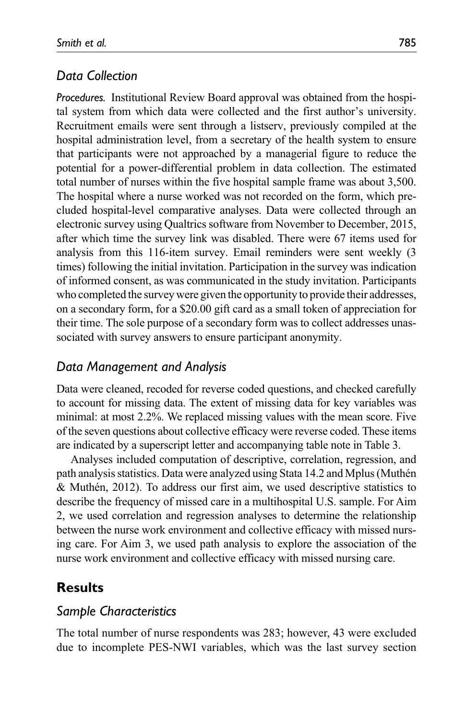## *Data Collection*

*Procedures.* Institutional Review Board approval was obtained from the hospital system from which data were collected and the first author's university. Recruitment emails were sent through a listserv, previously compiled at the hospital administration level, from a secretary of the health system to ensure that participants were not approached by a managerial figure to reduce the potential for a power-differential problem in data collection. The estimated total number of nurses within the five hospital sample frame was about 3,500. The hospital where a nurse worked was not recorded on the form, which precluded hospital-level comparative analyses. Data were collected through an electronic survey using Qualtrics software from November to December, 2015, after which time the survey link was disabled. There were 67 items used for analysis from this 116-item survey. Email reminders were sent weekly (3 times) following the initial invitation. Participation in the survey was indication of informed consent, as was communicated in the study invitation. Participants who completed the survey were given the opportunity to provide their addresses, on a secondary form, for a \$20.00 gift card as a small token of appreciation for their time. The sole purpose of a secondary form was to collect addresses unassociated with survey answers to ensure participant anonymity.

## *Data Management and Analysis*

Data were cleaned, recoded for reverse coded questions, and checked carefully to account for missing data. The extent of missing data for key variables was minimal: at most 2.2%. We replaced missing values with the mean score. Five of the seven questions about collective efficacy were reverse coded. These items are indicated by a superscript letter and accompanying table note in Table 3.

Analyses included computation of descriptive, correlation, regression, and path analysis statistics. Data were analyzed using Stata 14.2 and Mplus (Muthén & Muthén, 2012). To address our first aim, we used descriptive statistics to describe the frequency of missed care in a multihospital U.S. sample. For Aim 2, we used correlation and regression analyses to determine the relationship between the nurse work environment and collective efficacy with missed nursing care. For Aim 3, we used path analysis to explore the association of the nurse work environment and collective efficacy with missed nursing care.

# **Results**

#### *Sample Characteristics*

The total number of nurse respondents was 283; however, 43 were excluded due to incomplete PES-NWI variables, which was the last survey section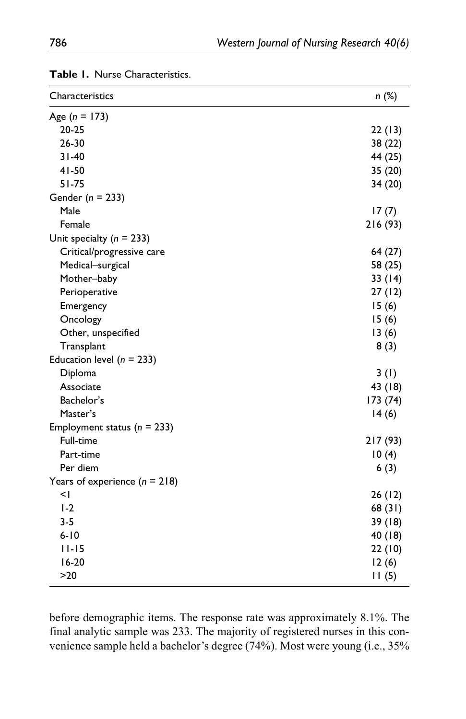| Characteristics                 | n (%)    |
|---------------------------------|----------|
| Age $(n = 173)$                 |          |
| $20 - 25$                       | 22(13)   |
| $26 - 30$                       | 38 (22)  |
| $31 - 40$                       | 44 (25)  |
| $41 - 50$                       | 35 (20)  |
| $51 - 75$                       | 34 (20)  |
| Gender $(n = 233)$              |          |
| Male                            | 17(7)    |
| Female                          | 216 (93) |
| Unit specialty ( $n = 233$ )    |          |
| Critical/progressive care       | 64 (27)  |
| Medical-surgical                | 58 (25)  |
| Mother-baby                     | 33(14)   |
| Perioperative                   | 27(12)   |
| Emergency                       | 15(6)    |
| Oncology                        | 15(6)    |
| Other, unspecified              | 13(6)    |
| Transplant                      | 8(3)     |
| Education level ( $n = 233$ )   |          |
| Diploma                         | 3(1)     |
| Associate                       | 43 (18)  |
| Bachelor's                      | 173 (74) |
| Master's                        | 14(6)    |
| Employment status ( $n = 233$ ) |          |
| Full-time                       | 217 (93) |
| Part-time                       | 10(4)    |
| Per diem                        | 6(3)     |
| Years of experience $(n = 218)$ |          |
| <۱                              | 26(12)   |
| $1-2$                           | 68(31)   |
| $3 - 5$                         | 39 (18)  |
| $6 - 10$                        | 40 (18)  |
| $11 - 15$                       | 22(10)   |
| $16-20$                         | 12(6)    |
| $>20$                           | 11(5)    |

**Table 1.** Nurse Characteristics.

before demographic items. The response rate was approximately 8.1%. The final analytic sample was 233. The majority of registered nurses in this convenience sample held a bachelor's degree (74%). Most were young (i.e., 35%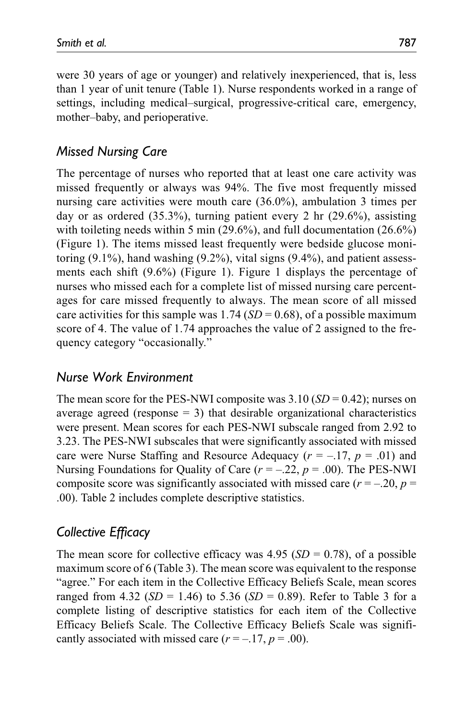were 30 years of age or younger) and relatively inexperienced, that is, less than 1 year of unit tenure (Table 1). Nurse respondents worked in a range of settings, including medical–surgical, progressive-critical care, emergency, mother–baby, and perioperative.

# *Missed Nursing Care*

The percentage of nurses who reported that at least one care activity was missed frequently or always was 94%. The five most frequently missed nursing care activities were mouth care (36.0%), ambulation 3 times per day or as ordered (35.3%), turning patient every 2 hr (29.6%), assisting with toileting needs within 5 min (29.6%), and full documentation (26.6%) (Figure 1). The items missed least frequently were bedside glucose monitoring (9.1%), hand washing (9.2%), vital signs (9.4%), and patient assessments each shift (9.6%) (Figure 1). Figure 1 displays the percentage of nurses who missed each for a complete list of missed nursing care percentages for care missed frequently to always. The mean score of all missed care activities for this sample was  $1.74$  (*SD* = 0.68), of a possible maximum score of 4. The value of 1.74 approaches the value of 2 assigned to the frequency category "occasionally."

## *Nurse Work Environment*

The mean score for the PES-NWI composite was  $3.10$  (*SD* = 0.42); nurses on average agreed (response  $= 3$ ) that desirable organizational characteristics were present. Mean scores for each PES-NWI subscale ranged from 2.92 to 3.23. The PES-NWI subscales that were significantly associated with missed care were Nurse Staffing and Resource Adequacy  $(r = -.17, p = .01)$  and Nursing Foundations for Quality of Care  $(r = -.22, p = .00)$ . The PES-NWI composite score was significantly associated with missed care  $(r = -.20, p =$ .00). Table 2 includes complete descriptive statistics.

## *Collective Efficacy*

The mean score for collective efficacy was  $4.95$  (*SD* = 0.78), of a possible maximum score of 6 (Table 3). The mean score was equivalent to the response "agree." For each item in the Collective Efficacy Beliefs Scale, mean scores ranged from 4.32 ( $SD = 1.46$ ) to 5.36 ( $SD = 0.89$ ). Refer to Table 3 for a complete listing of descriptive statistics for each item of the Collective Efficacy Beliefs Scale. The Collective Efficacy Beliefs Scale was significantly associated with missed care  $(r = -17, p = .00)$ .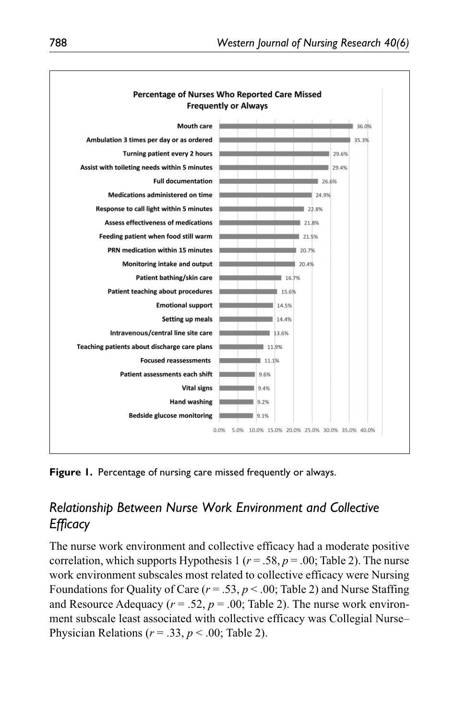

**Figure 1.** Percentage of nursing care missed frequently or always.

# *Relationship Between Nurse Work Environment and Collective Efficacy*

The nurse work environment and collective efficacy had a moderate positive correlation, which supports Hypothesis 1 ( $r = .58$ ,  $p = .00$ ; Table 2). The nurse work environment subscales most related to collective efficacy were Nursing Foundations for Quality of Care  $(r = .53, p < .00;$  Table 2) and Nurse Staffing and Resource Adequacy ( $r = .52$ ,  $p = .00$ ; Table 2). The nurse work environment subscale least associated with collective efficacy was Collegial Nurse– Physician Relations (*r* = .33, *p* < .00; Table 2).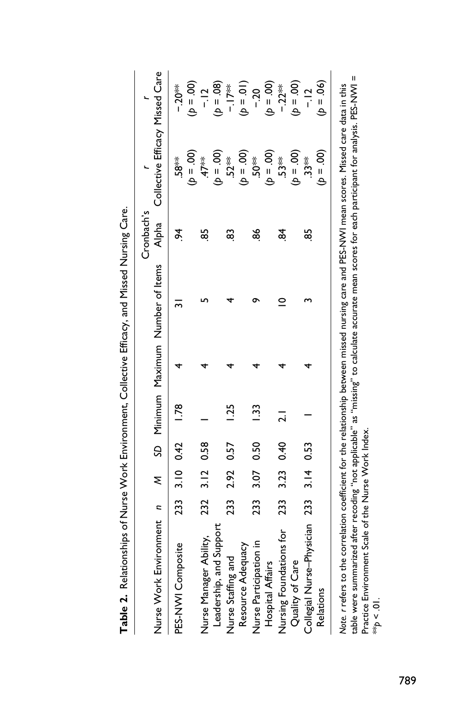| <b>The Construction of the Constitution of the Constitution of the Constitution of the Constitution of the Constitution of the Constitution of the Constitution of the Constitution of the Constitution of the Constitution of t</b>                                                                                                                                        |     |      |           |                |                                    |                     |                                 |             |
|-----------------------------------------------------------------------------------------------------------------------------------------------------------------------------------------------------------------------------------------------------------------------------------------------------------------------------------------------------------------------------|-----|------|-----------|----------------|------------------------------------|---------------------|---------------------------------|-------------|
| Nurse Work Environment n                                                                                                                                                                                                                                                                                                                                                    |     | ξ    |           |                | SD Minimum Maximum Number of Items | Cronbach's<br>Alpha | Collective Efficacy Missed Care |             |
| PES-NWI Composite                                                                                                                                                                                                                                                                                                                                                           | 233 |      | 3.10 0.42 | 1.78           |                                    | ð.                  | -58 <sup>≵</sup>                | $-20**$     |
|                                                                                                                                                                                                                                                                                                                                                                             |     |      |           |                |                                    |                     | $(00 = 4)$                      | $(00 - 4)$  |
| Nurse Manager Ability,                                                                                                                                                                                                                                                                                                                                                      | 232 | 3.12 | 0.58      |                |                                    | 85                  | $\overline{47}$ **              | $-12$       |
| Leadership, and Support                                                                                                                                                                                                                                                                                                                                                     |     |      |           |                |                                    |                     | $(00 - 4)$                      | $(b = .08)$ |
| Nurse Staffing and                                                                                                                                                                                                                                                                                                                                                          | 23  | 2.92 | 0.57      | $\frac{5}{25}$ |                                    | 83                  | $.52**$                         | ※11-        |
| Resource Adequacy                                                                                                                                                                                                                                                                                                                                                           |     |      |           |                |                                    |                     | $(00 - 4)$                      | $(10 - 4)$  |
| Nurse Participation in                                                                                                                                                                                                                                                                                                                                                      | 233 |      | 3.07 0.50 | 33             |                                    | 86                  | <b>\$02.</b>                    | $-20$       |
| Hospital Affairs                                                                                                                                                                                                                                                                                                                                                            |     |      |           |                |                                    |                     | $(00 - 4)$                      | $(00 = 4)$  |
| Nursing Foundations for                                                                                                                                                                                                                                                                                                                                                     | 233 | 3.23 | 0.40      | ಸ              | $\circ$                            | 84                  | $.53**$                         | $-22**$     |
| Quality of Care                                                                                                                                                                                                                                                                                                                                                             |     |      |           |                |                                    |                     | $(00 - 4)$                      | $(00 = 4)$  |
| Collegial Nurse-Physician 233                                                                                                                                                                                                                                                                                                                                               |     | 3.14 | 0.53      |                |                                    | ಜ್ಜಿ                | $33*$                           | $-12$       |
| Relations                                                                                                                                                                                                                                                                                                                                                                   |     |      |           |                |                                    |                     | $(00 = 4)$                      | $(b = .06)$ |
| table were summarized after recoding "not applicable" as "missing" to calculate accurate mean scores for each participant for analysis. PES-NWI =<br>Note. r refers to the correlation coefficient for the relationship between missed nursing care and PES-NWI mean scores. Missed care data in this<br>Practice Environment Scale of the Nurse Work Index.<br>$10 \geq 4$ |     |      |           |                |                                    |                     |                                 |             |
|                                                                                                                                                                                                                                                                                                                                                                             |     |      |           |                |                                    |                     |                                 |             |

**Table 2.** Relationships of Nurse Work Environment, Collective Efficacy, and Missed Nursing Care. Table 7 Boltimebles of Nurse Work Environment Collective Efficacy and Missed Nurseing Care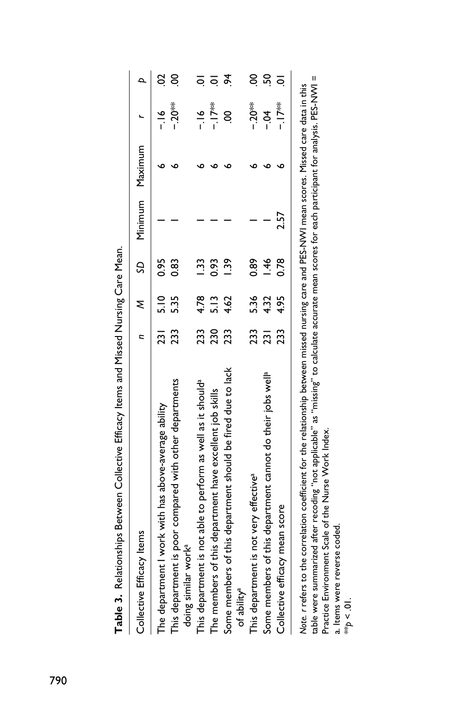| Collective Efficacy Items                                                                                                                        |     |               |                | n M SD Minimum Maximum |                  |                |
|--------------------------------------------------------------------------------------------------------------------------------------------------|-----|---------------|----------------|------------------------|------------------|----------------|
| The department I work with has above-average ability                                                                                             |     | 231 5.10 0.95 |                |                        | $\frac{8}{1}$    | S              |
| This department is poor compared with other departments<br>doing similar work <sup>a</sup>                                                       | 233 | 5.35          | 0.83           |                        | $-20$            | 8              |
| This department is not able to perform as well as it should <sup>a</sup>                                                                         | 233 | 4.78          | 1.33           |                        | $-16$            |                |
| The members of this department have excellent job skills                                                                                         | 230 | 5.13          | 0.93           |                        | ※<br> 7          | $\overline{a}$ |
| Some members of this department should be fired due to lack<br>of ability <sup>a</sup>                                                           | 233 | 4.62          | $\frac{39}{2}$ |                        | S                | ž.             |
| This department is not very effective <sup>a</sup>                                                                                               |     | 233 5.36      | 0.89           |                        | $-20**$          | $\overline{6}$ |
| Some members of this department cannot do their jobs well <sup>a</sup>                                                                           | 231 | 4.32          | $\frac{46}{5}$ |                        | $\sum_{i=1}^{n}$ | SÓ.            |
| Collective efficacy mean score                                                                                                                   | 233 | 4.95          | 0.78           | 2.57                   | ※−17             |                |
| Note. r refers to the correlation coefficient for the relationship between missed nursing care and PES-NWI mean scores. Missed care data in this |     |               |                |                        |                  |                |

Table 3. Relationships Between Collective Efficacy Items and Missed Nursing Care Mean. **Table 3.** Relationships Between Collective Efficacy Items and Missed Nursing Care Mean.

table were summarized after recoding "not applicable" as "missing" to calculate accurate mean scores for each participant for analysis. PES-NWI = table were summarized after recoding "not applicable" as "missing" to calculate accurate mean scores for each participant for analysis. PES-NWI = *Note. r* refers to the correlation coefficient for the relationship between missed nursing care and PES-NWI mean scores. Missed care data in this Practice Environment Scale of the Nurse Work Index. Practice Environment Scale of the Nurse Work Index.

a. Items were reverse coded. a. Items were reverse coded.

\*\**p* < .01.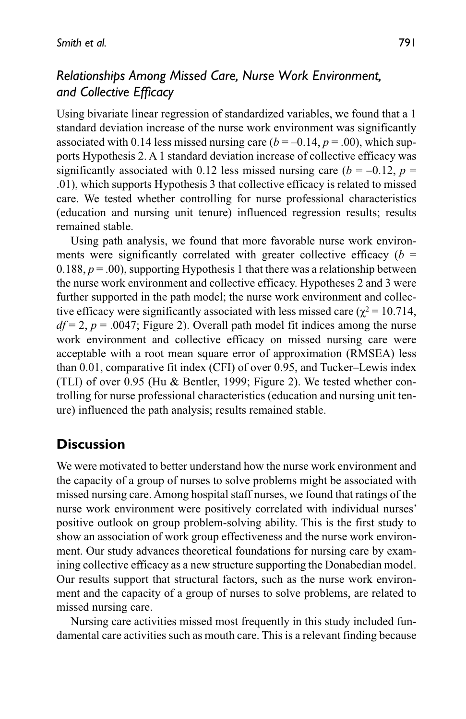# *Relationships Among Missed Care, Nurse Work Environment, and Collective Efficacy*

Using bivariate linear regression of standardized variables, we found that a 1 standard deviation increase of the nurse work environment was significantly associated with 0.14 less missed nursing care  $(b = -0.14, p = .00)$ , which supports Hypothesis 2. A 1 standard deviation increase of collective efficacy was significantly associated with 0.12 less missed nursing care  $(b = -0.12, p =$ .01), which supports Hypothesis 3 that collective efficacy is related to missed care. We tested whether controlling for nurse professional characteristics (education and nursing unit tenure) influenced regression results; results remained stable.

Using path analysis, we found that more favorable nurse work environments were significantly correlated with greater collective efficacy  $(b =$  $0.188, p = .00$ , supporting Hypothesis 1 that there was a relationship between the nurse work environment and collective efficacy. Hypotheses 2 and 3 were further supported in the path model; the nurse work environment and collective efficacy were significantly associated with less missed care ( $\chi^2$  = 10.714,  $df = 2$ ,  $p = .0047$ ; Figure 2). Overall path model fit indices among the nurse work environment and collective efficacy on missed nursing care were acceptable with a root mean square error of approximation (RMSEA) less than 0.01, comparative fit index (CFI) of over 0.95, and Tucker–Lewis index (TLI) of over 0.95 (Hu & Bentler, 1999; Figure 2). We tested whether controlling for nurse professional characteristics (education and nursing unit tenure) influenced the path analysis; results remained stable.

# **Discussion**

We were motivated to better understand how the nurse work environment and the capacity of a group of nurses to solve problems might be associated with missed nursing care. Among hospital staff nurses, we found that ratings of the nurse work environment were positively correlated with individual nurses' positive outlook on group problem-solving ability. This is the first study to show an association of work group effectiveness and the nurse work environment. Our study advances theoretical foundations for nursing care by examining collective efficacy as a new structure supporting the Donabedian model. Our results support that structural factors, such as the nurse work environment and the capacity of a group of nurses to solve problems, are related to missed nursing care.

Nursing care activities missed most frequently in this study included fundamental care activities such as mouth care. This is a relevant finding because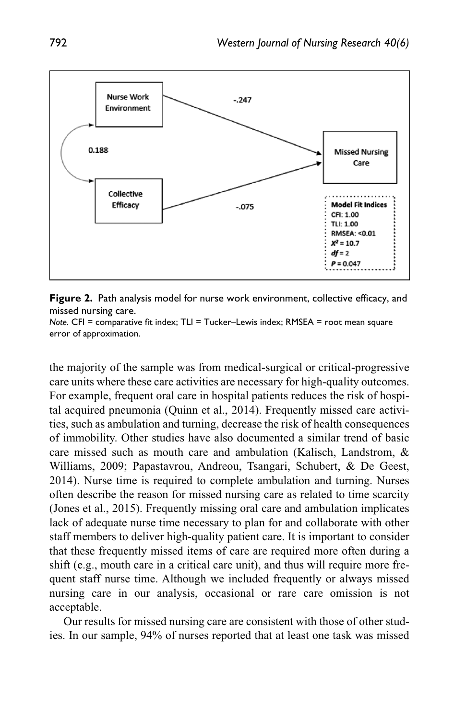

**Figure 2.** Path analysis model for nurse work environment, collective efficacy, and missed nursing care.

*Note.* CFI = comparative fit index; TLI = Tucker–Lewis index; RMSEA = root mean square error of approximation.

the majority of the sample was from medical-surgical or critical-progressive care units where these care activities are necessary for high-quality outcomes. For example, frequent oral care in hospital patients reduces the risk of hospital acquired pneumonia (Quinn et al., 2014). Frequently missed care activities, such as ambulation and turning, decrease the risk of health consequences of immobility. Other studies have also documented a similar trend of basic care missed such as mouth care and ambulation (Kalisch, Landstrom, & Williams, 2009; Papastavrou, Andreou, Tsangari, Schubert, & De Geest, 2014). Nurse time is required to complete ambulation and turning. Nurses often describe the reason for missed nursing care as related to time scarcity (Jones et al., 2015). Frequently missing oral care and ambulation implicates lack of adequate nurse time necessary to plan for and collaborate with other staff members to deliver high-quality patient care. It is important to consider that these frequently missed items of care are required more often during a shift (e.g., mouth care in a critical care unit), and thus will require more frequent staff nurse time. Although we included frequently or always missed nursing care in our analysis, occasional or rare care omission is not acceptable.

Our results for missed nursing care are consistent with those of other studies. In our sample, 94% of nurses reported that at least one task was missed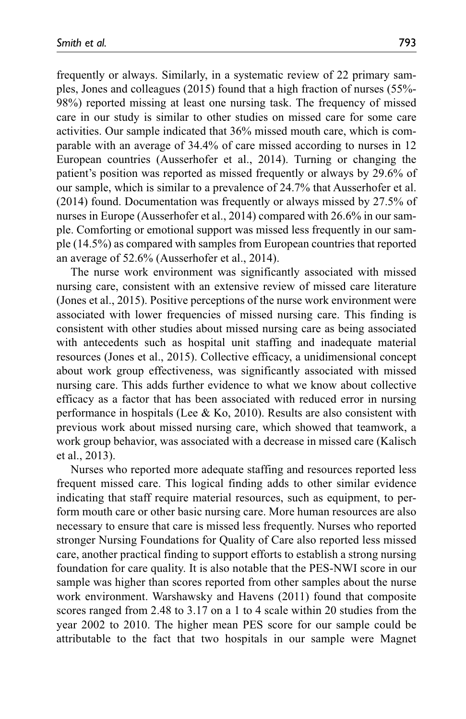frequently or always. Similarly, in a systematic review of 22 primary samples, Jones and colleagues (2015) found that a high fraction of nurses (55%- 98%) reported missing at least one nursing task. The frequency of missed care in our study is similar to other studies on missed care for some care activities. Our sample indicated that 36% missed mouth care, which is comparable with an average of 34.4% of care missed according to nurses in 12 European countries (Ausserhofer et al., 2014). Turning or changing the patient's position was reported as missed frequently or always by 29.6% of our sample, which is similar to a prevalence of 24.7% that Ausserhofer et al. (2014) found. Documentation was frequently or always missed by 27.5% of nurses in Europe (Ausserhofer et al., 2014) compared with 26.6% in our sample. Comforting or emotional support was missed less frequently in our sample (14.5%) as compared with samples from European countries that reported an average of 52.6% (Ausserhofer et al., 2014).

The nurse work environment was significantly associated with missed nursing care, consistent with an extensive review of missed care literature (Jones et al., 2015). Positive perceptions of the nurse work environment were associated with lower frequencies of missed nursing care. This finding is consistent with other studies about missed nursing care as being associated with antecedents such as hospital unit staffing and inadequate material resources (Jones et al., 2015). Collective efficacy, a unidimensional concept about work group effectiveness, was significantly associated with missed nursing care. This adds further evidence to what we know about collective efficacy as a factor that has been associated with reduced error in nursing performance in hospitals (Lee  $& Ko, 2010$ ). Results are also consistent with previous work about missed nursing care, which showed that teamwork, a work group behavior, was associated with a decrease in missed care (Kalisch et al., 2013).

Nurses who reported more adequate staffing and resources reported less frequent missed care. This logical finding adds to other similar evidence indicating that staff require material resources, such as equipment, to perform mouth care or other basic nursing care. More human resources are also necessary to ensure that care is missed less frequently. Nurses who reported stronger Nursing Foundations for Quality of Care also reported less missed care, another practical finding to support efforts to establish a strong nursing foundation for care quality. It is also notable that the PES-NWI score in our sample was higher than scores reported from other samples about the nurse work environment. Warshawsky and Havens (2011) found that composite scores ranged from 2.48 to 3.17 on a 1 to 4 scale within 20 studies from the year 2002 to 2010. The higher mean PES score for our sample could be attributable to the fact that two hospitals in our sample were Magnet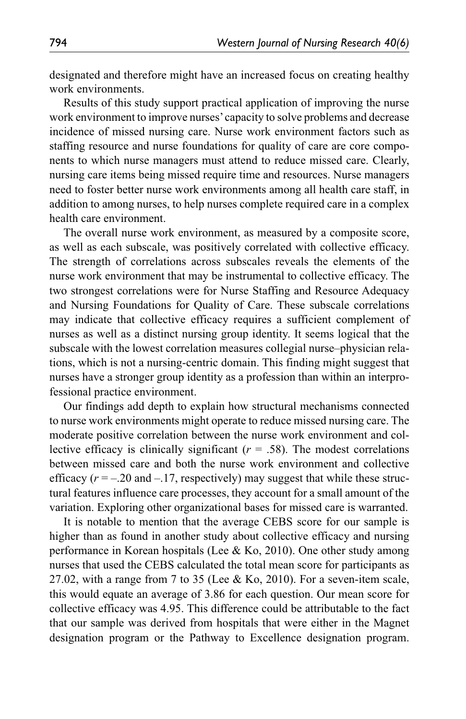designated and therefore might have an increased focus on creating healthy work environments.

Results of this study support practical application of improving the nurse work environment to improve nurses' capacity to solve problems and decrease incidence of missed nursing care. Nurse work environment factors such as staffing resource and nurse foundations for quality of care are core components to which nurse managers must attend to reduce missed care. Clearly, nursing care items being missed require time and resources. Nurse managers need to foster better nurse work environments among all health care staff, in addition to among nurses, to help nurses complete required care in a complex health care environment.

The overall nurse work environment, as measured by a composite score, as well as each subscale, was positively correlated with collective efficacy. The strength of correlations across subscales reveals the elements of the nurse work environment that may be instrumental to collective efficacy. The two strongest correlations were for Nurse Staffing and Resource Adequacy and Nursing Foundations for Quality of Care. These subscale correlations may indicate that collective efficacy requires a sufficient complement of nurses as well as a distinct nursing group identity. It seems logical that the subscale with the lowest correlation measures collegial nurse–physician relations, which is not a nursing-centric domain. This finding might suggest that nurses have a stronger group identity as a profession than within an interprofessional practice environment.

Our findings add depth to explain how structural mechanisms connected to nurse work environments might operate to reduce missed nursing care. The moderate positive correlation between the nurse work environment and collective efficacy is clinically significant  $(r = .58)$ . The modest correlations between missed care and both the nurse work environment and collective efficacy  $(r = -.20$  and  $-.17$ , respectively) may suggest that while these structural features influence care processes, they account for a small amount of the variation. Exploring other organizational bases for missed care is warranted.

It is notable to mention that the average CEBS score for our sample is higher than as found in another study about collective efficacy and nursing performance in Korean hospitals (Lee & Ko, 2010). One other study among nurses that used the CEBS calculated the total mean score for participants as 27.02, with a range from 7 to 35 (Lee & Ko, 2010). For a seven-item scale, this would equate an average of 3.86 for each question. Our mean score for collective efficacy was 4.95. This difference could be attributable to the fact that our sample was derived from hospitals that were either in the Magnet designation program or the Pathway to Excellence designation program.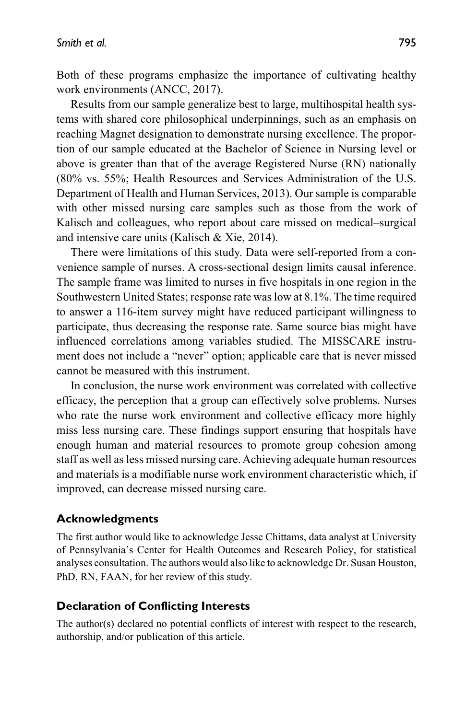Both of these programs emphasize the importance of cultivating healthy work environments (ANCC, 2017).

Results from our sample generalize best to large, multihospital health systems with shared core philosophical underpinnings, such as an emphasis on reaching Magnet designation to demonstrate nursing excellence. The proportion of our sample educated at the Bachelor of Science in Nursing level or above is greater than that of the average Registered Nurse (RN) nationally (80% vs. 55%; Health Resources and Services Administration of the U.S. Department of Health and Human Services, 2013). Our sample is comparable with other missed nursing care samples such as those from the work of Kalisch and colleagues, who report about care missed on medical–surgical and intensive care units (Kalisch & Xie, 2014).

There were limitations of this study. Data were self-reported from a convenience sample of nurses. A cross-sectional design limits causal inference. The sample frame was limited to nurses in five hospitals in one region in the Southwestern United States; response rate was low at 8.1%. The time required to answer a 116-item survey might have reduced participant willingness to participate, thus decreasing the response rate. Same source bias might have influenced correlations among variables studied. The MISSCARE instrument does not include a "never" option; applicable care that is never missed cannot be measured with this instrument.

In conclusion, the nurse work environment was correlated with collective efficacy, the perception that a group can effectively solve problems. Nurses who rate the nurse work environment and collective efficacy more highly miss less nursing care. These findings support ensuring that hospitals have enough human and material resources to promote group cohesion among staff as well as less missed nursing care. Achieving adequate human resources and materials is a modifiable nurse work environment characteristic which, if improved, can decrease missed nursing care.

#### **Acknowledgments**

The first author would like to acknowledge Jesse Chittams, data analyst at University of Pennsylvania's Center for Health Outcomes and Research Policy, for statistical analyses consultation. The authors would also like to acknowledge Dr. Susan Houston, PhD, RN, FAAN, for her review of this study.

#### **Declaration of Conflicting Interests**

The author(s) declared no potential conflicts of interest with respect to the research, authorship, and/or publication of this article.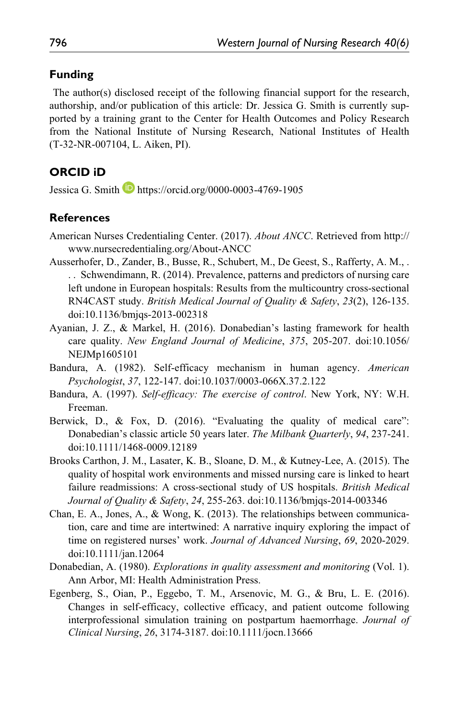#### **Funding**

 The author(s) disclosed receipt of the following financial support for the research, authorship, and/or publication of this article: Dr. Jessica G. Smith is currently supported by a training grant to the Center for Health Outcomes and Policy Research from the National Institute of Nursing Research, National Institutes of Health (T-32-NR-007104, L. Aiken, PI).

#### **ORCID iD**

Jessica G. Smith **b** <https://orcid.org/0000-0003-4769-1905>

#### **References**

- American Nurses Credentialing Center. (2017). *About ANCC*. Retrieved from http:// www.nursecredentialing.org/About-ANCC
- Ausserhofer, D., Zander, B., Busse, R., Schubert, M., De Geest, S., Rafferty, A. M., . . . Schwendimann, R. (2014). Prevalence, patterns and predictors of nursing care left undone in European hospitals: Results from the multicountry cross-sectional RN4CAST study. *British Medical Journal of Quality & Safety*, *23*(2), 126-135. doi:10.1136/bmjqs-2013-002318
- Ayanian, J. Z., & Markel, H. (2016). Donabedian's lasting framework for health care quality. *New England Journal of Medicine*, *375*, 205-207. doi:10.1056/ NEJMp1605101
- Bandura, A. (1982). Self-efficacy mechanism in human agency. *American Psychologist*, *37*, 122-147. doi:10.1037/0003-066X.37.2.122
- Bandura, A. (1997). *Self-efficacy: The exercise of control*. New York, NY: W.H. Freeman.
- Berwick, D., & Fox, D. (2016). "Evaluating the quality of medical care": Donabedian's classic article 50 years later. *The Milbank Quarterly*, *94*, 237-241. doi:10.1111/1468-0009.12189
- Brooks Carthon, J. M., Lasater, K. B., Sloane, D. M., & Kutney-Lee, A. (2015). The quality of hospital work environments and missed nursing care is linked to heart failure readmissions: A cross-sectional study of US hospitals. *British Medical Journal of Quality & Safety*, *24*, 255-263. doi:10.1136/bmjqs-2014-003346
- Chan, E. A., Jones, A., & Wong, K. (2013). The relationships between communication, care and time are intertwined: A narrative inquiry exploring the impact of time on registered nurses' work. *Journal of Advanced Nursing*, *69*, 2020-2029. doi:10.1111/jan.12064
- Donabedian, A. (1980). *Explorations in quality assessment and monitoring* (Vol. 1). Ann Arbor, MI: Health Administration Press.
- Egenberg, S., Oian, P., Eggebo, T. M., Arsenovic, M. G., & Bru, L. E. (2016). Changes in self-efficacy, collective efficacy, and patient outcome following interprofessional simulation training on postpartum haemorrhage. *Journal of Clinical Nursing*, *26*, 3174-3187. doi:10.1111/jocn.13666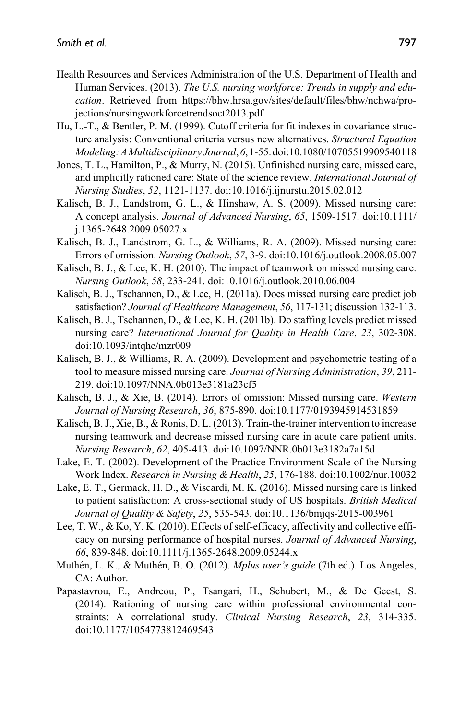- Health Resources and Services Administration of the U.S. Department of Health and Human Services. (2013). *The U.S. nursing workforce: Trends in supply and education*. Retrieved from https://bhw.hrsa.gov/sites/default/files/bhw/nchwa/projections/nursingworkforcetrendsoct2013.pdf
- Hu, L.-T., & Bentler, P. M. (1999). Cutoff criteria for fit indexes in covariance structure analysis: Conventional criteria versus new alternatives. *Structural Equation Modeling: A Multidisciplinary Journal*, *6*, 1-55. doi:10.1080/10705519909540118
- Jones, T. L., Hamilton, P., & Murry, N. (2015). Unfinished nursing care, missed care, and implicitly rationed care: State of the science review. *International Journal of Nursing Studies*, *52*, 1121-1137. doi:10.1016/j.ijnurstu.2015.02.012
- Kalisch, B. J., Landstrom, G. L., & Hinshaw, A. S. (2009). Missed nursing care: A concept analysis. *Journal of Advanced Nursing*, *65*, 1509-1517. doi:10.1111/ j.1365-2648.2009.05027.x
- Kalisch, B. J., Landstrom, G. L., & Williams, R. A. (2009). Missed nursing care: Errors of omission. *Nursing Outlook*, *57*, 3-9. doi:10.1016/j.outlook.2008.05.007
- Kalisch, B. J., & Lee, K. H. (2010). The impact of teamwork on missed nursing care. *Nursing Outlook*, *58*, 233-241. doi:10.1016/j.outlook.2010.06.004
- Kalisch, B. J., Tschannen, D., & Lee, H. (2011a). Does missed nursing care predict job satisfaction? *Journal of Healthcare Management*, *56*, 117-131; discussion 132-113.
- Kalisch, B. J., Tschannen, D., & Lee, K. H. (2011b). Do staffing levels predict missed nursing care? *International Journal for Quality in Health Care*, *23*, 302-308. doi:10.1093/intqhc/mzr009
- Kalisch, B. J., & Williams, R. A. (2009). Development and psychometric testing of a tool to measure missed nursing care. *Journal of Nursing Administration*, *39*, 211- 219. doi:10.1097/NNA.0b013e3181a23cf5
- Kalisch, B. J., & Xie, B. (2014). Errors of omission: Missed nursing care. *Western Journal of Nursing Research*, *36*, 875-890. doi:10.1177/0193945914531859
- Kalisch, B. J., Xie, B., & Ronis, D. L. (2013). Train-the-trainer intervention to increase nursing teamwork and decrease missed nursing care in acute care patient units. *Nursing Research*, *62*, 405-413. doi:10.1097/NNR.0b013e3182a7a15d
- Lake, E. T. (2002). Development of the Practice Environment Scale of the Nursing Work Index. *Research in Nursing & Health*, *25*, 176-188. doi:10.1002/nur.10032
- Lake, E. T., Germack, H. D., & Viscardi, M. K. (2016). Missed nursing care is linked to patient satisfaction: A cross-sectional study of US hospitals. *British Medical Journal of Quality & Safety*, *25*, 535-543. doi:10.1136/bmjqs-2015-003961
- Lee, T. W., & Ko, Y. K. (2010). Effects of self-efficacy, affectivity and collective efficacy on nursing performance of hospital nurses. *Journal of Advanced Nursing*, *66*, 839-848. doi:10.1111/j.1365-2648.2009.05244.x
- Muthén, L. K., & Muthén, B. O. (2012). *Mplus user's guide* (7th ed.). Los Angeles, CA: Author.
- Papastavrou, E., Andreou, P., Tsangari, H., Schubert, M., & De Geest, S. (2014). Rationing of nursing care within professional environmental constraints: A correlational study. *Clinical Nursing Research*, *23*, 314-335. doi:10.1177/1054773812469543